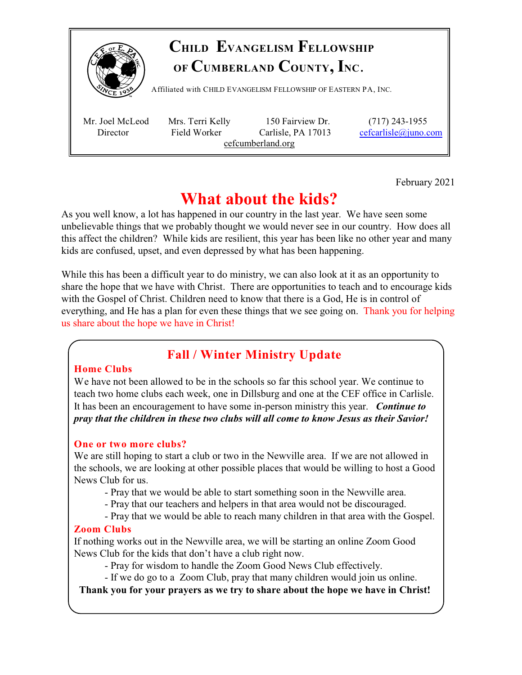

# **CHILD EVANGELISM FELLOWSHIP OF CUMBERLAND COUNTY, INC**.

Affiliated with <sup>C</sup>HILD <sup>E</sup>VANGELISM <sup>F</sup>ELLOWSHIP OF <sup>E</sup>ASTERN PA, <sup>I</sup>NC.

 Mr. Joel McLeod Mrs. Terri Kelly 150 Fairview Dr. (717) 243-1955 Director Field Worker Carlisle, PA 17013 [cefcarlisle@juno.com](mailto:cefcarlisle@juno.com) cefcumberland.org

February 2021

# **What about the kids?**

As you well know, a lot has happened in our country in the last year. We have seen some unbelievable things that we probably thought we would never see in our country. How does all this affect the children? While kids are resilient, this year has been like no other year and many kids are confused, upset, and even depressed by what has been happening.

While this has been a difficult year to do ministry, we can also look at it as an opportunity to share the hope that we have with Christ. There are opportunities to teach and to encourage kids with the Gospel of Christ. Children need to know that there is a God, He is in control of everything, and He has a plan for even these things that we see going on. Thank you for helping us share about the hope we have in Christ!

## **Fall / Winter Ministry Update**

#### **Home Clubs**

We have not been allowed to be in the schools so far this school year. We continue to teach two home clubs each week, one in Dillsburg and one at the CEF office in Carlisle. It has been an encouragement to have some in-person ministry this year. *Continue to pray that the children in these two clubs will all come to know Jesus as their Savior!* 

#### **One or two more clubs?**

We are still hoping to start a club or two in the Newville area. If we are not allowed in the schools, we are looking at other possible places that would be willing to host a Good News Club for us.

- Pray that we would be able to start something soon in the Newville area.
- Pray that our teachers and helpers in that area would not be discouraged.
- Pray that we would be able to reach many children in that area with the Gospel.

#### **Zoom Clubs**

If nothing works out in the Newville area, we will be starting an online Zoom Good News Club for the kids that don't have a club right now.

- Pray for wisdom to handle the Zoom Good News Club effectively.

- If we do go to a Zoom Club, pray that many children would join us online.

**Thank you for your prayers as we try to share about the hope we have in Christ!**